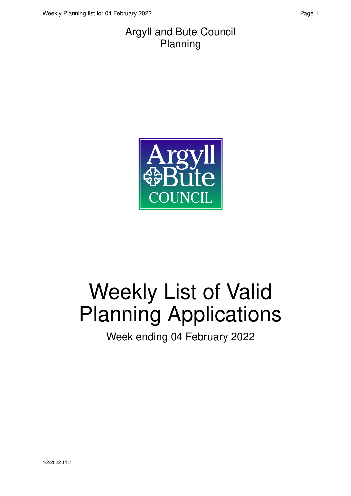#### Argyll and Bute Council Planning



# Weekly List of Valid Planning Applications

Week ending 04 February 2022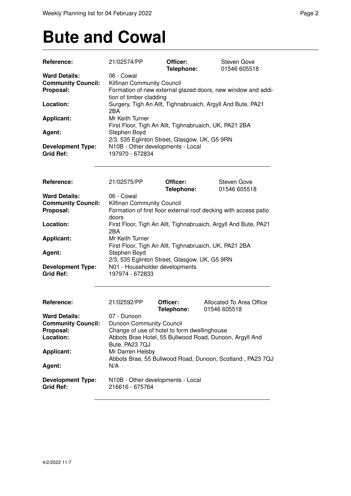### **Bute and Cowal**

| Reference:                                                                  | 21/02574/PP                                                                                                                                                                                               | Officer:<br>Telephone: | Steven Gove<br>01546 605518                                     |  |  |
|-----------------------------------------------------------------------------|-----------------------------------------------------------------------------------------------------------------------------------------------------------------------------------------------------------|------------------------|-----------------------------------------------------------------|--|--|
| <b>Ward Details:</b><br><b>Community Council:</b><br>Proposal:<br>Location: | 06 - Cowal<br>Kilfinan Community Council<br>Formation of new external glazed doors, new window and addi-<br>tion of timber cladding<br>Surgery, Tigh An Allt, Tighnabruaich, Argyll And Bute, PA21<br>2BA |                        |                                                                 |  |  |
| <b>Applicant:</b>                                                           | Mr Keith Turner<br>First Floor, Tigh An Allt, Tighnabruaich, UK, PA21 2BA                                                                                                                                 |                        |                                                                 |  |  |
| Agent:                                                                      | Stephen Boyd<br>2/3, 535 Eglinton Street, Glasgow, UK, G5 9RN                                                                                                                                             |                        |                                                                 |  |  |
| <b>Development Type:</b><br><b>Grid Ref:</b>                                | N10B - Other developments - Local<br>197970 - 672834                                                                                                                                                      |                        |                                                                 |  |  |
| Reference:                                                                  | 21/02575/PP                                                                                                                                                                                               | Officer:<br>Telephone: | Steven Gove<br>01546 605518                                     |  |  |
| <b>Ward Details:</b><br><b>Community Council:</b><br>Proposal:              | 06 - Cowal<br>Kilfinan Community Council<br>Formation of first floor external roof decking with access patio<br>doors                                                                                     |                        |                                                                 |  |  |
| Location:                                                                   | 2BA                                                                                                                                                                                                       |                        | First Floor, Tigh An Allt, Tighnabruaich, Argyll And Bute, PA21 |  |  |
| <b>Applicant:</b><br>Agent:                                                 | Mr Keith Turner<br>First Floor, Tigh An Allt, Tighnabruaich, UK, PA21 2BA                                                                                                                                 |                        |                                                                 |  |  |
| <b>Development Type:</b><br><b>Grid Ref:</b>                                | Stephen Boyd<br>2/3, 535 Eglinton Street, Glasgow, UK, G5 9RN<br>N01 - Householder developments<br>197974 - 672833                                                                                        |                        |                                                                 |  |  |
| Reference:                                                                  | 21/02592/PP                                                                                                                                                                                               | Officer:               | Allocated To Area Office                                        |  |  |
|                                                                             |                                                                                                                                                                                                           | Telephone:             | 01546 605518                                                    |  |  |
| <b>Ward Details:</b><br><b>Community Council:</b><br>Proposal:<br>Location: | 07 - Dunoon<br>Dunoon Community Council<br>Change of use of hotel to form dwellinghouse<br>Abbots Brae Hotel, 55 Bullwood Road, Dunoon, Argyll And                                                        |                        |                                                                 |  |  |
| <b>Applicant:</b>                                                           | Bute, PA23 7QJ<br>Mr Darren Helsby<br>Abbots Brae, 55 Bullwood Road, Dunoon, Scotland, PA23 7QJ                                                                                                           |                        |                                                                 |  |  |
| Agent:                                                                      | N/A                                                                                                                                                                                                       |                        |                                                                 |  |  |
| <b>Development Type:</b><br><b>Grid Ref:</b>                                | N10B - Other developments - Local<br>216616 - 675764                                                                                                                                                      |                        |                                                                 |  |  |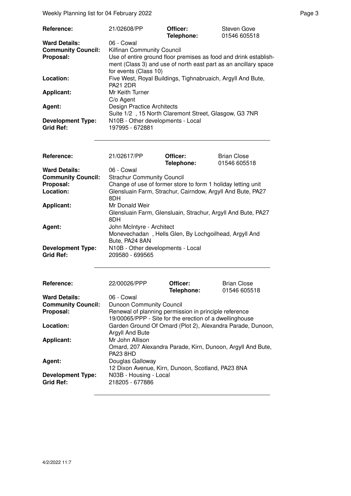Weekly Planning list for 04 February 2022 **Page 3** Page 3

| Reference:                | 21/02608/PP                                                                                                                         | Officer:<br>Telephone: | Steven Gove<br>01546 605518 |  |
|---------------------------|-------------------------------------------------------------------------------------------------------------------------------------|------------------------|-----------------------------|--|
| <b>Ward Details:</b>      | 06 - Cowal                                                                                                                          |                        |                             |  |
| <b>Community Council:</b> | <b>Kilfinan Community Council</b>                                                                                                   |                        |                             |  |
| Proposal:                 | Use of entire ground floor premises as food and drink establish-<br>ment (Class 3) and use of north east part as an ancillary space |                        |                             |  |
|                           | for events (Class 10)                                                                                                               |                        |                             |  |
| Location:                 | Five West, Royal Buildings, Tighnabruaich, Argyll And Bute,                                                                         |                        |                             |  |
|                           | <b>PA21 2DR</b>                                                                                                                     |                        |                             |  |
| <b>Applicant:</b>         | Mr Keith Turner                                                                                                                     |                        |                             |  |
|                           | C/o Agent                                                                                                                           |                        |                             |  |
| Agent:                    | <b>Design Practice Architects</b>                                                                                                   |                        |                             |  |
|                           | Suite 1/2, 15 North Claremont Street, Glasgow, G3 7NR                                                                               |                        |                             |  |
| <b>Development Type:</b>  | N10B - Other developments - Local                                                                                                   |                        |                             |  |
| <b>Grid Ref:</b>          | 197995 - 672881                                                                                                                     |                        |                             |  |

| Reference:                | 21/02617/PP                               | Officer:                                                | <b>Brian Close</b>                                           |  |
|---------------------------|-------------------------------------------|---------------------------------------------------------|--------------------------------------------------------------|--|
|                           |                                           | Telephone:                                              | 01546 605518                                                 |  |
| <b>Ward Details:</b>      | 06 - Cowal                                |                                                         |                                                              |  |
| <b>Community Council:</b> | <b>Strachur Community Council</b>         |                                                         |                                                              |  |
| Proposal:                 |                                           |                                                         | Change of use of former store to form 1 holiday letting unit |  |
| Location:                 |                                           |                                                         | Glensluain Farm, Strachur, Cairndow, Argyll And Bute, PA27   |  |
|                           | 8DH                                       |                                                         |                                                              |  |
| <b>Applicant:</b>         | Mr Donald Weir                            |                                                         |                                                              |  |
|                           |                                           |                                                         | Glensluain Farm, Glensluain, Strachur, Argyll And Bute, PA27 |  |
|                           | 8DH                                       |                                                         |                                                              |  |
| Agent:                    | John McIntyre - Architect                 |                                                         |                                                              |  |
|                           |                                           |                                                         | Monevechadan, Hells Glen, By Lochgoilhead, Argyll And        |  |
|                           | Bute, PA24 8AN                            |                                                         |                                                              |  |
| <b>Development Type:</b>  | N10B - Other developments - Local         |                                                         |                                                              |  |
| <b>Grid Ref:</b>          | 209580 - 699565                           |                                                         |                                                              |  |
|                           |                                           |                                                         |                                                              |  |
| Reference:                | 22/00026/PPP                              | Officer:                                                | <b>Brian Close</b>                                           |  |
|                           |                                           | Telephone:                                              | 01546 605518                                                 |  |
| <b>Ward Details:</b>      | 06 - Cowal                                |                                                         |                                                              |  |
| <b>Community Council:</b> | <b>Dunoon Community Council</b>           |                                                         |                                                              |  |
| Proposal:                 |                                           | Renewal of planning permission in principle reference   |                                                              |  |
|                           |                                           | 19/00065/PPP - Site for the erection of a dwellinghouse |                                                              |  |
| Location:                 |                                           |                                                         | Garden Ground Of Omard (Plot 2), Alexandra Parade, Dunoon,   |  |
|                           | Argyll And Bute                           |                                                         |                                                              |  |
| <b>Applicant:</b>         | Mr John Allison                           |                                                         |                                                              |  |
|                           |                                           |                                                         | Omard, 207 Alexandra Parade, Kirn, Dunoon, Argyll And Bute,  |  |
|                           | <b>PA23 8HD</b>                           |                                                         |                                                              |  |
| Agent:                    | Douglas Galloway                          |                                                         |                                                              |  |
|                           |                                           | 12 Dixon Avenue, Kirn, Dunoon, Scotland, PA23 8NA       |                                                              |  |
| <b>Development Type:</b>  |                                           |                                                         |                                                              |  |
| <b>Grid Ref:</b>          | N03B - Housing - Local<br>218205 - 677886 |                                                         |                                                              |  |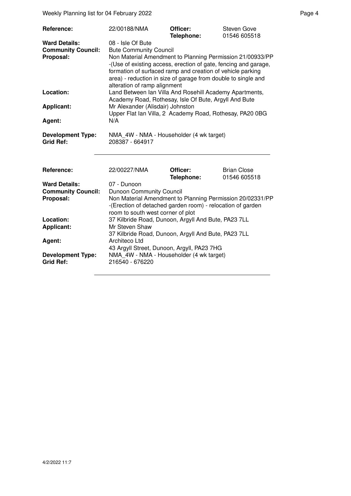Weekly Planning list for 04 February 2022 **Page 4** Page 4

| Reference:                                                     | 22/00188/NMA                                                                                                                                                                                                                                                                                                                                      | Officer:<br>Telephone: | Steven Gove<br>01546 605518        |
|----------------------------------------------------------------|---------------------------------------------------------------------------------------------------------------------------------------------------------------------------------------------------------------------------------------------------------------------------------------------------------------------------------------------------|------------------------|------------------------------------|
| <b>Ward Details:</b><br><b>Community Council:</b><br>Proposal: | 08 - Isle Of Bute<br><b>Bute Community Council</b><br>Non Material Amendment to Planning Permission 21/00933/PP<br>-(Use of existing access, erection of gate, fencing and garage,<br>formation of surfaced ramp and creation of vehicle parking<br>area) - reduction in size of garage from double to single and<br>alteration of ramp alignment |                        |                                    |
| Location:                                                      | Land Between Ian Villa And Rosehill Academy Apartments,<br>Academy Road, Rothesay, Isle Of Bute, Argyll And Bute                                                                                                                                                                                                                                  |                        |                                    |
| <b>Applicant:</b>                                              | Mr Alexander (Alisdair) Johnston<br>Upper Flat Ian Villa, 2 Academy Road, Rothesay, PA20 0BG                                                                                                                                                                                                                                                      |                        |                                    |
| Agent:                                                         | N/A                                                                                                                                                                                                                                                                                                                                               |                        |                                    |
| <b>Development Type:</b><br><b>Grid Ref:</b>                   | NMA 4W - NMA - Householder (4 wk target)<br>208387 - 664917                                                                                                                                                                                                                                                                                       |                        |                                    |
| Reference:                                                     | 22/00227/NMA                                                                                                                                                                                                                                                                                                                                      | Officer:<br>Telephone: | <b>Brian Close</b><br>01546 605518 |
| <b>Ward Details:</b><br><b>Community Council:</b>              | 07 - Dunoon<br>Dunoon Community Council                                                                                                                                                                                                                                                                                                           |                        |                                    |

**Proposal: Non Material Amendment to Planning Permission 20/02331/PP** 

room to south west corner of plot

**Location:** 37 Kilbride Road, Dunoon, Argyll And Bute, PA23 7LL<br>**Applicant:** Mr Steven Shaw

**Mr Steven Shaw** 

**Development Type:** NMA\_4W - NMA - Householder (4 wk target)<br>Grid Ref: 216540 - 676220 **Grid Ref:** 216540 - 676220

**Ag ent:** Architeco Ltd

-(Erection of detached garden room) - relocation of garden

37 Kilbride Road, Dunoon, Argyll And Bute, PA23 7LL

43 Argyll Street, Dunoon, Argyll, PA23 7HG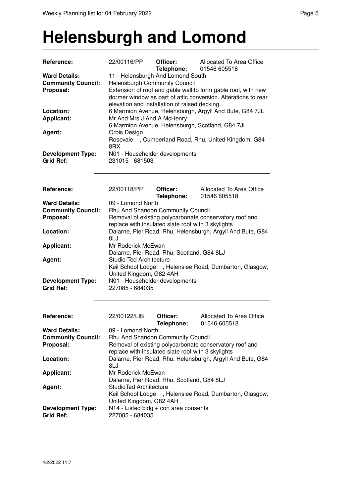#### **Helensburgh and Lomond**

| Reference:                                                                  | 22/00116/PP                                                                                                                                                                                                                                                                                                       | Officer:<br>Telephone:        | Allocated To Area Office<br>01546 605518                   |  |
|-----------------------------------------------------------------------------|-------------------------------------------------------------------------------------------------------------------------------------------------------------------------------------------------------------------------------------------------------------------------------------------------------------------|-------------------------------|------------------------------------------------------------|--|
| <b>Ward Details:</b><br><b>Community Council:</b><br>Proposal:<br>Location: | 11 - Helensburgh And Lomond South<br>Helensburgh Community Council<br>Extension of roof and gable wall to form gable roof, with new<br>dormer window as part of attic conversion. Alterations to rear<br>elevation and installation of raised decking.<br>6 Marmion Avenue, Helensburgh, Argyll And Bute, G84 7JL |                               |                                                            |  |
| <b>Applicant:</b><br>Agent:                                                 | Mr And Mrs J And A McHenry<br>Orbis Design                                                                                                                                                                                                                                                                        |                               | 6 Marmion Avenue, Helensburgh, Scotland, G84 7JL           |  |
|                                                                             | 8RX                                                                                                                                                                                                                                                                                                               |                               | Rosevale, Cumberland Road, Rhu, United Kingdom, G84        |  |
| <b>Development Type:</b><br><b>Grid Ref:</b>                                | N01 - Householder developments<br>231015 - 681503                                                                                                                                                                                                                                                                 |                               |                                                            |  |
| Reference:                                                                  | 22/00118/PP                                                                                                                                                                                                                                                                                                       | Officer:<br>Telephone:        | Allocated To Area Office<br>01546 605518                   |  |
| <b>Ward Details:</b><br><b>Community Council:</b><br>Proposal:              | 09 - Lomond North<br>Rhu And Shandon Community Council<br>Removal of existing polycarbonate conservatory roof and<br>replace with insulated slate roof with 3 skylights                                                                                                                                           |                               |                                                            |  |
| Location:                                                                   | 8LJ                                                                                                                                                                                                                                                                                                               |                               | Dalarne, Pier Road, Rhu, Helensburgh, Argyll And Bute, G84 |  |
| Applicant:                                                                  | Mr Roderick McEwan<br>Dalarne, Pier Road, Rhu, Scotland, G84 8LJ                                                                                                                                                                                                                                                  |                               |                                                            |  |
| Agent:                                                                      | <b>Studio Ted Architecture</b><br>United Kingdom, G82 4AH                                                                                                                                                                                                                                                         |                               | Keil School Lodge , Helenslee Road, Dumbarton, Glasgow,    |  |
| <b>Development Type:</b><br><b>Grid Ref:</b>                                | N01 - Householder developments<br>227085 - 684035                                                                                                                                                                                                                                                                 |                               |                                                            |  |
| Reference:                                                                  | 22/00122/LIB                                                                                                                                                                                                                                                                                                      | Officer:<br><b>Telephone:</b> | Allocated To Area Office<br>01546 605518                   |  |
| <b>Ward Details:</b><br><b>Community Council:</b><br>Proposal:              | 09 - Lomond North<br>Rhu And Shandon Community Council<br>Removal of existing polycarbonate conservatory roof and<br>replace with insulated slate roof with 3 skylights                                                                                                                                           |                               |                                                            |  |
| Location:                                                                   | 8LJ                                                                                                                                                                                                                                                                                                               |                               | Dalarne, Pier Road, Rhu, Helensburgh, Argyll And Bute, G84 |  |
| <b>Applicant:</b>                                                           | Mr Roderick McEwan<br>Dalarne, Pier Road, Rhu, Scotland, G84 8LJ                                                                                                                                                                                                                                                  |                               |                                                            |  |
| Agent:                                                                      | <b>StudioTed Architecture</b><br>United Kingdom, G82 4AH                                                                                                                                                                                                                                                          |                               | Keil School Lodge, Helenslee Road, Dumbarton, Glasgow,     |  |
| <b>Development Type:</b><br><b>Grid Ref:</b>                                | N14 - Listed bldg + con area consents<br>227085 - 684035                                                                                                                                                                                                                                                          |                               |                                                            |  |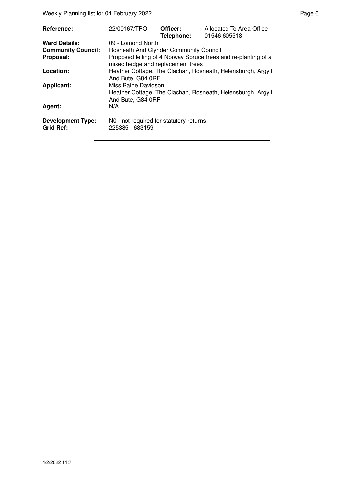Weekly Planning list for 04 February 2022 **Page 6** and the entry of the Page 6

| Reference:                                   | 22/00167/TPO                                                                                            | Officer:<br>Telephone: | Allocated To Area Office<br>01546 605518                       |
|----------------------------------------------|---------------------------------------------------------------------------------------------------------|------------------------|----------------------------------------------------------------|
| <b>Ward Details:</b>                         | 09 - Lomond North                                                                                       |                        |                                                                |
| <b>Community Council:</b>                    | <b>Rosneath And Clynder Community Council</b>                                                           |                        |                                                                |
| Proposal:                                    | mixed hedge and replacement trees                                                                       |                        | Proposed felling of 4 Norway Spruce trees and re-planting of a |
| Location:                                    | Heather Cottage, The Clachan, Rosneath, Helensburgh, Argyll<br>And Bute, G84 0RF                        |                        |                                                                |
| <b>Applicant:</b>                            | Miss Raine Davidson<br>Heather Cottage, The Clachan, Rosneath, Helensburgh, Argyll<br>And Bute, G84 0RF |                        |                                                                |
| Agent:                                       | N/A                                                                                                     |                        |                                                                |
| <b>Development Type:</b><br><b>Grid Ref:</b> | NO - not required for statutory returns<br>225385 - 683159                                              |                        |                                                                |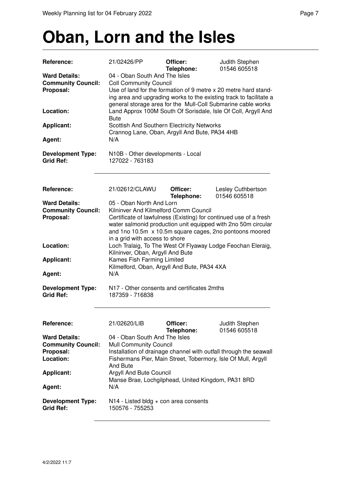### **Oban, Lorn and the Isles**

| Reference:                                                                  | 21/02426/PP                                                                                                                                                                                                                                                              | Officer:<br>Telephone: | Judith Stephen<br>01546 605518                                                                                                                                                                        |  |
|-----------------------------------------------------------------------------|--------------------------------------------------------------------------------------------------------------------------------------------------------------------------------------------------------------------------------------------------------------------------|------------------------|-------------------------------------------------------------------------------------------------------------------------------------------------------------------------------------------------------|--|
| <b>Ward Details:</b><br><b>Community Council:</b>                           | 04 - Oban South And The Isles<br><b>Coll Community Council</b>                                                                                                                                                                                                           |                        |                                                                                                                                                                                                       |  |
| Proposal:                                                                   |                                                                                                                                                                                                                                                                          |                        | Use of land for the formation of 9 metre x 20 metre hard stand-<br>ing area and upgrading works to the existing track to facilitate a<br>general storage area for the Mull-Coll Submarine cable works |  |
| Location:                                                                   | <b>Bute</b>                                                                                                                                                                                                                                                              |                        | Land Approx 100M South Of Sorisdale, Isle Of Coll, Argyll And                                                                                                                                         |  |
| <b>Applicant:</b>                                                           | <b>Scottish And Southern Electricity Networks</b><br>Crannog Lane, Oban, Argyll And Bute, PA34 4HB<br>N/A                                                                                                                                                                |                        |                                                                                                                                                                                                       |  |
| Agent:                                                                      |                                                                                                                                                                                                                                                                          |                        |                                                                                                                                                                                                       |  |
| <b>Development Type:</b><br><b>Grid Ref:</b>                                | N10B - Other developments - Local<br>127022 - 763183                                                                                                                                                                                                                     |                        |                                                                                                                                                                                                       |  |
| Reference:                                                                  | 21/02612/CLAWU                                                                                                                                                                                                                                                           | Officer:<br>Telephone: | Lesley Cuthbertson<br>01546 605518                                                                                                                                                                    |  |
| <b>Ward Details:</b><br><b>Community Council:</b>                           | 05 - Oban North And Lorn                                                                                                                                                                                                                                                 |                        |                                                                                                                                                                                                       |  |
| Proposal:                                                                   | Kilninver And Kilmelford Comm Council<br>Certificate of lawfulness (Existing) for continued use of a fresh<br>water salmonid production unit equipped with 2no 50m circular<br>and 1no 10.5m x 10.5m square cages, 2no pontoons moored<br>in a grid with access to shore |                        |                                                                                                                                                                                                       |  |
| Location:                                                                   | Loch Tralaig, To The West Of Flyaway Lodge Feochan Eleraig,<br>Kilninver, Oban, Argyll And Bute                                                                                                                                                                          |                        |                                                                                                                                                                                                       |  |
| <b>Applicant:</b>                                                           | Kames Fish Farming Limited<br>Kilmelford, Oban, Argyll And Bute, PA34 4XA                                                                                                                                                                                                |                        |                                                                                                                                                                                                       |  |
| Agent:                                                                      | N/A                                                                                                                                                                                                                                                                      |                        |                                                                                                                                                                                                       |  |
| <b>Development Type:</b><br><b>Grid Ref:</b>                                | N17 - Other consents and certificates 2mths<br>187359 - 716838                                                                                                                                                                                                           |                        |                                                                                                                                                                                                       |  |
| <b>Reference:</b>                                                           | 21/02620/LIB                                                                                                                                                                                                                                                             | Officer:<br>Telephone: | Judith Stephen<br>01546 605518                                                                                                                                                                        |  |
| <b>Ward Details:</b><br><b>Community Council:</b><br>Proposal:<br>Location: | 04 - Oban South And The Isles<br><b>Mull Community Council</b><br>Installation of drainage channel with outfall through the seawall<br>Fishermans Pier, Main Street, Tobermory, Isle Of Mull, Argyll                                                                     |                        |                                                                                                                                                                                                       |  |
| <b>Applicant:</b>                                                           | <b>And Bute</b><br>Argyll And Bute Council                                                                                                                                                                                                                               |                        |                                                                                                                                                                                                       |  |
| Agent:                                                                      | Manse Brae, Lochgilphead, United Kingdom, PA31 8RD<br>N/A                                                                                                                                                                                                                |                        |                                                                                                                                                                                                       |  |
| <b>Development Type:</b><br><b>Grid Ref:</b>                                | $N14$ - Listed bldg + con area consents<br>150576 - 755253                                                                                                                                                                                                               |                        |                                                                                                                                                                                                       |  |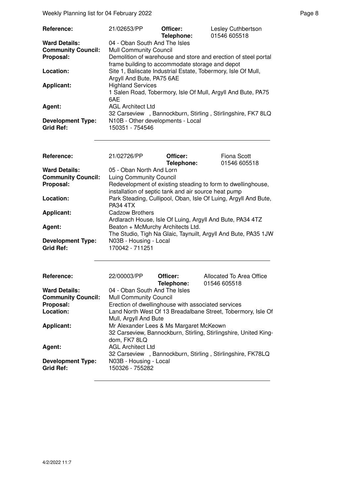| Reference:                                   | 21/02653/PP                                                                                | Officer:<br>Telephone: | Lesley Cuthbertson<br>01546 605518                             |
|----------------------------------------------|--------------------------------------------------------------------------------------------|------------------------|----------------------------------------------------------------|
| <b>Ward Details:</b>                         | 04 - Oban South And The Isles                                                              |                        |                                                                |
| <b>Community Council:</b>                    | <b>Mull Community Council</b>                                                              |                        |                                                                |
| Proposal:                                    | frame building to accommodate storage and depot                                            |                        | Demolition of warehouse and store and erection of steel portal |
| Location:                                    | Site 1, Baliscate Industrial Estate, Tobermory, Isle Of Mull,<br>Argyll And Bute, PA75 6AE |                        |                                                                |
| <b>Applicant:</b>                            | <b>Highland Services</b><br>6AE                                                            |                        | 1 Salen Road, Tobermory, Isle Of Mull, Argyll And Bute, PA75   |
| Agent:                                       | <b>AGL Architect Ltd</b>                                                                   |                        | 32 Carseview, Bannockburn, Stirling, Stirlingshire, FK7 8LQ    |
| <b>Development Type:</b><br><b>Grid Ref:</b> | N10B - Other developments - Local<br>150351 - 754546                                       |                        |                                                                |

| <b>Reference:</b>         | 21/02726/PP                                                     | Officer:   | Fiona Scott  |
|---------------------------|-----------------------------------------------------------------|------------|--------------|
|                           |                                                                 | Telephone: | 01546 605518 |
| <b>Ward Details:</b>      | 05 - Oban North And Lorn                                        |            |              |
| <b>Community Council:</b> | Luing Community Council                                         |            |              |
| Proposal:                 | Redevelopment of existing steading to form to dwellinghouse,    |            |              |
|                           | installation of septic tank and air source heat pump            |            |              |
| Location:                 | Park Steading, Cullipool, Oban, Isle Of Luing, Argyll And Bute, |            |              |
|                           | <b>PA34 4TX</b>                                                 |            |              |
| <b>Applicant:</b>         | Cadzow Brothers                                                 |            |              |
|                           | Ardlarach House, Isle Of Luing, Argyll And Bute, PA34 4TZ       |            |              |
| Agent:                    | Beaton + McMurchy Architects Ltd.                               |            |              |
|                           | The Studio, Tigh Na Glaic, Taynuilt, Argyll And Bute, PA35 1JW  |            |              |
| <b>Development Type:</b>  | N03B - Housing - Local                                          |            |              |
| <b>Grid Ref:</b>          | 170042 - 711251                                                 |            |              |

| <b>Reference:</b>                            | 22/00003/PP                                             | Officer:<br>Telephone: | Allocated To Area Office<br>01546 605518                         |
|----------------------------------------------|---------------------------------------------------------|------------------------|------------------------------------------------------------------|
| <b>Ward Details:</b>                         | 04 - Oban South And The Isles                           |                        |                                                                  |
| <b>Community Council:</b>                    | <b>Mull Community Council</b>                           |                        |                                                                  |
| Proposal:                                    | Erection of dwellinghouse with associated services      |                        |                                                                  |
| Location:                                    | Mull, Argyll And Bute                                   |                        | Land North West Of 13 Breadalbane Street, Tobermory, Isle Of     |
| <b>Applicant:</b>                            | Mr Alexander Lees & Ms Margaret McKeown<br>dom, FK7 8LQ |                        | 32 Carseview, Bannockburn, Stirling, Stirlingshire, United King- |
| Agent:                                       | <b>AGL Architect Ltd</b>                                |                        | 32 Carseview, Bannockburn, Stirling, Stirlingshire, FK78LQ       |
| <b>Development Type:</b><br><b>Grid Ref:</b> | N03B - Housing - Local<br>150326 - 755282               |                        |                                                                  |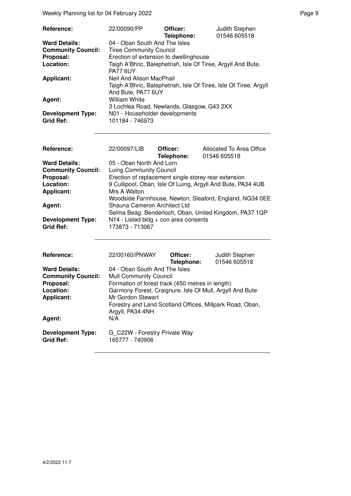Weekly Planning list for 04 February 2022 **Page 9** Page 9

| Reference:                | 22/00090/PP                                                  | Officer:   | Judith Stephen<br>01546 605518                                    |
|---------------------------|--------------------------------------------------------------|------------|-------------------------------------------------------------------|
|                           |                                                              | Telephone: |                                                                   |
| <b>Ward Details:</b>      | 04 - Oban South And The Isles                                |            |                                                                   |
| <b>Community Council:</b> | <b>Tiree Community Council</b>                               |            |                                                                   |
| Proposal:                 | Erection of extension to dwellinghouse                       |            |                                                                   |
| Location:                 | Taigh A'Bhric, Balephetrish, Isle Of Tiree, Argyll And Bute, |            |                                                                   |
|                           | PA77 6UY                                                     |            |                                                                   |
| <b>Applicant:</b>         | Neil And Alison MacPhail                                     |            |                                                                   |
|                           |                                                              |            | Taigh A'Bhric, Balephetrish, Isle Of Tiree, Isle Of Tiree, Argyll |
|                           | And Bute, PA77 6UY                                           |            |                                                                   |
| Agent:                    | William White                                                |            |                                                                   |
|                           | 3 Lochlea Road, Newlands, Glasgow, G43 2XX                   |            |                                                                   |
| <b>Development Type:</b>  | N01 - Householder developments                               |            |                                                                   |
| <b>Grid Ref:</b>          | 101184 - 746973                                              |            |                                                                   |

| Reference:                | 22/00097/LIB                                                | Officer:<br>Telephone: | Allocated To Area Office<br>01546 605518                |
|---------------------------|-------------------------------------------------------------|------------------------|---------------------------------------------------------|
| <b>Ward Details:</b>      | 05 - Oban North And Lorn                                    |                        |                                                         |
| <b>Community Council:</b> | Luing Community Council                                     |                        |                                                         |
| Proposal:                 | Erection of replacement single storey rear extension        |                        |                                                         |
| Location:                 | 9 Cullipool, Oban, Isle Of Luing, Argyll And Bute, PA34 4UB |                        |                                                         |
| <b>Applicant:</b>         | Mrs A Walton                                                |                        |                                                         |
|                           |                                                             |                        | Woodside Farmhouse, Newton, Sleaford, England, NG34 0EE |
| Agent:                    | Shauna Cameron Architect Ltd                                |                        |                                                         |
|                           |                                                             |                        | Selma Beag, Benderloch, Oban, United Kingdom, PA37 1QP  |
| <b>Development Type:</b>  | $N14$ - Listed bldg + con area consents                     |                        |                                                         |
| <b>Grid Ref:</b>          | 173873 - 713067                                             |                        |                                                         |
|                           |                                                             |                        |                                                         |
|                           |                                                             |                        |                                                         |

| <b>Reference:</b>                            | 22/00160/PNWAY                                           | Officer:   | Judith Stephen |
|----------------------------------------------|----------------------------------------------------------|------------|----------------|
|                                              |                                                          | Telephone: | 01546 605518   |
| <b>Ward Details:</b>                         | 04 - Oban South And The Isles                            |            |                |
| <b>Community Council:</b>                    | <b>Mull Community Council</b>                            |            |                |
| Proposal:                                    | Formation of forest track (450 metres in length)         |            |                |
| Location:                                    | Garmony Forest, Craignure, Isle Of Mull, Argyll And Bute |            |                |
| <b>Applicant:</b>                            | Mr Gordon Stewart                                        |            |                |
|                                              | Forestry and Land Scotland Offices, Millpark Road, Oban, |            |                |
|                                              | Argyll, PA34 4NH                                         |            |                |
| Agent:                                       | N/A                                                      |            |                |
| <b>Development Type:</b><br><b>Grid Ref:</b> | G C22W - Forestry Private Way<br>165777 - 740906         |            |                |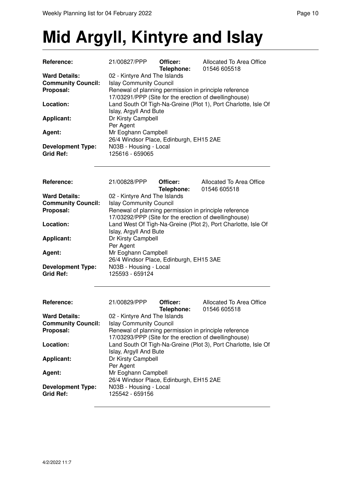## **Mid Argyll, Kintyre and Islay**

| Reference:                             | 21/00827/PPP                                                                            | Officer:<br>Telephone: | Allocated To Area Office<br>01546 605518                       |  |  |
|----------------------------------------|-----------------------------------------------------------------------------------------|------------------------|----------------------------------------------------------------|--|--|
| <b>Ward Details:</b>                   | 02 - Kintyre And The Islands                                                            |                        |                                                                |  |  |
| <b>Community Council:</b>              | <b>Islay Community Council</b>                                                          |                        |                                                                |  |  |
| Proposal:                              | Renewal of planning permission in principle reference                                   |                        |                                                                |  |  |
|                                        | 17/03291/PPP (Site for the erection of dwellinghouse)                                   |                        |                                                                |  |  |
| Location:                              |                                                                                         |                        | Land South Of Tigh-Na-Greine (Plot 1), Port Charlotte, Isle Of |  |  |
|                                        | Islay, Argyll And Bute                                                                  |                        |                                                                |  |  |
| <b>Applicant:</b>                      | Dr Kirsty Campbell                                                                      |                        |                                                                |  |  |
|                                        | Per Agent                                                                               |                        |                                                                |  |  |
| Agent:                                 | Mr Eoghann Campbell                                                                     |                        |                                                                |  |  |
|                                        | 26/4 Windsor Place, Edinburgh, EH15 2AE                                                 |                        |                                                                |  |  |
| <b>Development Type:</b>               | N03B - Housing - Local                                                                  |                        |                                                                |  |  |
| <b>Grid Ref:</b>                       | 125616 - 659065                                                                         |                        |                                                                |  |  |
|                                        |                                                                                         |                        |                                                                |  |  |
| Reference:                             | 21/00828/PPP                                                                            | Officer:               | Allocated To Area Office                                       |  |  |
|                                        |                                                                                         | Telephone:             | 01546 605518                                                   |  |  |
| <b>Ward Details:</b>                   | 02 - Kintyre And The Islands                                                            |                        |                                                                |  |  |
| <b>Community Council:</b>              | <b>Islay Community Council</b>                                                          |                        |                                                                |  |  |
| Proposal:                              | Renewal of planning permission in principle reference                                   |                        |                                                                |  |  |
|                                        | 17/03292/PPP (Site for the erection of dwellinghouse)                                   |                        |                                                                |  |  |
| Location:                              |                                                                                         |                        | Land West Of Tigh-Na-Greine (Plot 2), Port Charlotte, Isle Of  |  |  |
|                                        | Islay, Argyll And Bute                                                                  |                        |                                                                |  |  |
| <b>Applicant:</b>                      | Dr Kirsty Campbell                                                                      |                        |                                                                |  |  |
|                                        | Per Agent                                                                               |                        |                                                                |  |  |
| Agent:                                 | Mr Eoghann Campbell                                                                     |                        |                                                                |  |  |
|                                        | 26/4 Windsor Place, Edinburgh, EH15 3AE                                                 |                        |                                                                |  |  |
| <b>Development Type:</b>               | N03B - Housing - Local                                                                  |                        |                                                                |  |  |
| <b>Grid Ref:</b>                       | 125593 - 659124                                                                         |                        |                                                                |  |  |
|                                        |                                                                                         |                        |                                                                |  |  |
| Reference:                             | 21/00829/PPP                                                                            | Officer:               | Allocated To Area Office                                       |  |  |
| <b>Ward Details:</b>                   | 02 - Kintyre And The Islands                                                            | Telephone:             | 01546 605518                                                   |  |  |
|                                        |                                                                                         |                        |                                                                |  |  |
| <b>Community Council:</b><br>Proposal: | <b>Islay Community Council</b><br>Renewal of planning permission in principle reference |                        |                                                                |  |  |
|                                        | 17/03293/PPP (Site for the erection of dwellinghouse)                                   |                        |                                                                |  |  |
| Location:                              |                                                                                         |                        | Land South Of Tigh-Na-Greine (Plot 3), Port Charlotte, Isle Of |  |  |
|                                        | Islay, Argyll And Bute                                                                  |                        |                                                                |  |  |
| <b>Applicant:</b>                      | Dr Kirsty Campbell                                                                      |                        |                                                                |  |  |
|                                        | Per Agent                                                                               |                        |                                                                |  |  |
| Agent:                                 | Mr Eoghann Campbell                                                                     |                        |                                                                |  |  |
|                                        | 26/4 Windsor Place, Edinburgh, EH15 2AE                                                 |                        |                                                                |  |  |
| <b>Development Type:</b>               | N03B - Housing - Local                                                                  |                        |                                                                |  |  |
| <b>Grid Ref:</b>                       | 125542 - 659156                                                                         |                        |                                                                |  |  |
|                                        |                                                                                         |                        |                                                                |  |  |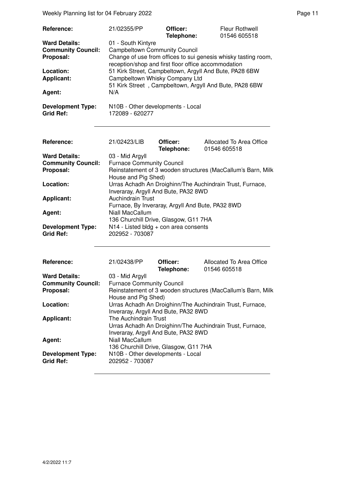Weekly Planning list for 04 February 2022 **Page 11** Assembly Page 11

| Reference:<br><b>Ward Details:</b><br><b>Community Council:</b><br>Proposal:<br>Location:<br><b>Applicant:</b><br>Agent:<br><b>Development Type:</b><br><b>Grid Ref:</b> | 21/02355/PP<br>01 - South Kintyre<br><b>Campbeltown Community Council</b><br>reception/shop and first floor office accommodation<br>Campbeltown Whisky Company Ltd<br>N/A<br>N10B - Other developments - Local<br>172089 - 620277                                                                                                   | Officer:<br>Telephone: | <b>Fleur Rothwell</b><br>01546 605518<br>Change of use from offices to sui genesis whisky tasting room,<br>51 Kirk Street, Campbeltown, Argyll And Bute, PA28 6BW<br>51 Kirk Street, Campbeltown, Argyll And Bute, PA28 6BW        |
|--------------------------------------------------------------------------------------------------------------------------------------------------------------------------|-------------------------------------------------------------------------------------------------------------------------------------------------------------------------------------------------------------------------------------------------------------------------------------------------------------------------------------|------------------------|------------------------------------------------------------------------------------------------------------------------------------------------------------------------------------------------------------------------------------|
| Reference:<br><b>Ward Details:</b><br><b>Community Council:</b><br>Proposal:<br>Location:<br><b>Applicant:</b><br>Agent:<br><b>Development Type:</b><br><b>Grid Ref:</b> | 21/02423/LIB<br>03 - Mid Argyll<br><b>Furnace Community Council</b><br>House and Pig Shed)<br>Inveraray, Argyll And Bute, PA32 8WD<br>Auchindrain Trust<br>Furnace, By Inveraray, Argyll And Bute, PA32 8WD<br>Niall MacCallum<br>136 Churchill Drive, Glasgow, G11 7HA<br>N14 - Listed bldg + con area consents<br>202952 - 703087 | Officer:<br>Telephone: | Allocated To Area Office<br>01546 605518<br>Reinstatement of 3 wooden structures (MacCallum's Barn, Milk<br>Urras Achadh An Droighinn/The Auchindrain Trust, Furnace,                                                              |
| Reference:<br><b>Ward Details:</b><br><b>Community Council:</b><br>Proposal:<br>Location:<br><b>Applicant:</b><br>Agent:<br><b>Development Type:</b><br><b>Grid Ref:</b> | 21/02438/PP<br>03 - Mid Argyll<br><b>Furnace Community Council</b><br>House and Pig Shed)<br>Inveraray, Argyll And Bute, PA32 8WD<br>The Auchindrain Trust<br>Inveraray, Argyll And Bute, PA32 8WD<br>Niall MacCallum<br>136 Churchill Drive, Glasgow, G11 7HA<br>N10B - Other developments - Local<br>202952 - 703087              | Officer:<br>Telephone: | Allocated To Area Office<br>01546 605518<br>Reinstatement of 3 wooden structures (MacCallum's Barn, Milk<br>Urras Achadh An Droighinn/The Auchindrain Trust, Furnace,<br>Urras Achadh An Droighinn/The Auchindrain Trust, Furnace, |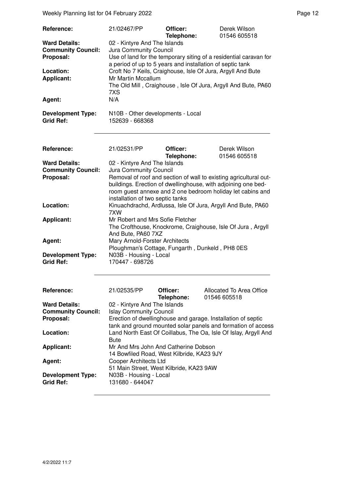Weekly Planning list for 04 February 2022 **Page 12** Page 12

| Reference:<br><b>Ward Details:</b><br><b>Community Council:</b><br>Proposal:<br>Location:<br><b>Applicant:</b><br>Agent:<br><b>Development Type:</b><br><b>Grid Ref:</b> | 21/02467/PP<br>02 - Kintyre And The Islands<br>Jura Community Council<br>a period of up to 5 years and installation of septic tank<br>Croft No 7 Keils, Craighouse, Isle Of Jura, Argyll And Bute<br>Mr Martin Mccallum<br>7XS<br>N/A<br>N10B - Other developments - Local<br>152639 - 668368 | Officer:<br>Telephone: | Derek Wilson<br>01546 605518<br>Use of land for the temporary siting of a residential caravan for<br>The Old Mill, Craighouse, Isle Of Jura, Argyll And Bute, PA60 |
|--------------------------------------------------------------------------------------------------------------------------------------------------------------------------|-----------------------------------------------------------------------------------------------------------------------------------------------------------------------------------------------------------------------------------------------------------------------------------------------|------------------------|--------------------------------------------------------------------------------------------------------------------------------------------------------------------|
| Reference:                                                                                                                                                               | 21/02531/PP                                                                                                                                                                                                                                                                                   | Officer:               | Derek Wilson                                                                                                                                                       |
| <b>Ward Details:</b>                                                                                                                                                     | 02 - Kintyre And The Islands                                                                                                                                                                                                                                                                  | Telephone:             | 01546 605518                                                                                                                                                       |
| <b>Community Council:</b><br>Proposal:                                                                                                                                   | Jura Community Council                                                                                                                                                                                                                                                                        |                        |                                                                                                                                                                    |
|                                                                                                                                                                          | Removal of roof and section of wall to existing agricultural out-<br>buildings. Erection of dwellinghouse, with adjoining one bed-<br>room guest annexe and 2 one bedroom holiday let cabins and<br>installation of two septic tanks                                                          |                        |                                                                                                                                                                    |
| Location:                                                                                                                                                                | Kinuachdrachd, Ardlussa, Isle Of Jura, Argyll And Bute, PA60<br>7XW                                                                                                                                                                                                                           |                        |                                                                                                                                                                    |
| <b>Applicant:</b>                                                                                                                                                        | Mr Robert and Mrs Sofie Fletcher<br>The Crofthouse, Knockrome, Craighouse, Isle Of Jura, Argyll<br>And Bute, PA60 7XZ                                                                                                                                                                         |                        |                                                                                                                                                                    |
| Agent:                                                                                                                                                                   | Mary Arnold-Forster Architects<br>Ploughman's Cottage, Fungarth, Dunkeld, PH8 0ES                                                                                                                                                                                                             |                        |                                                                                                                                                                    |
| <b>Development Type:</b><br><b>Grid Ref:</b>                                                                                                                             | N03B - Housing - Local<br>170447 - 698726                                                                                                                                                                                                                                                     |                        |                                                                                                                                                                    |
| Reference:                                                                                                                                                               | 21/02535/PP                                                                                                                                                                                                                                                                                   | Officer:<br>Telephone: | Allocated To Area Office<br>01546 605518                                                                                                                           |
| <b>Ward Details:</b>                                                                                                                                                     | 02 - Kintyre And The Islands                                                                                                                                                                                                                                                                  |                        |                                                                                                                                                                    |
| <b>Community Council:</b><br>Proposal:                                                                                                                                   | <b>Islay Community Council</b><br>Erection of dwellinghouse and garage. Installation of septic                                                                                                                                                                                                |                        |                                                                                                                                                                    |
| Location:                                                                                                                                                                |                                                                                                                                                                                                                                                                                               |                        | tank and ground mounted solar panels and formation of access<br>Land North East Of Coillabus, The Oa, Isle Of Islay, Argyll And                                    |
|                                                                                                                                                                          | <b>Bute</b>                                                                                                                                                                                                                                                                                   |                        |                                                                                                                                                                    |
| <b>Applicant:</b>                                                                                                                                                        | Mr And Mrs John And Catherine Dobson<br>14 Bowfiled Road, West Kilbride, KA23 9JY                                                                                                                                                                                                             |                        |                                                                                                                                                                    |
| Agent:                                                                                                                                                                   | Cooper Architects Ltd<br>51 Main Street, West Kilbride, KA23 9AW                                                                                                                                                                                                                              |                        |                                                                                                                                                                    |
| <b>Development Type:</b><br><b>Grid Ref:</b>                                                                                                                             | N03B - Housing - Local<br>131680 - 644047                                                                                                                                                                                                                                                     |                        |                                                                                                                                                                    |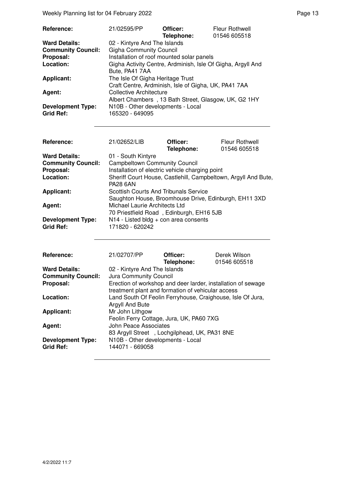Weekly Planning list for 04 February 2022 **Page 13** Page 13

| <b>Reference:</b>         | 21/02595/PP                                                 | Officer:<br>Telephone: | Fleur Rothwell<br>01546 605518 |
|---------------------------|-------------------------------------------------------------|------------------------|--------------------------------|
| <b>Ward Details:</b>      | 02 - Kintyre And The Islands                                |                        |                                |
| <b>Community Council:</b> | <b>Gigha Community Council</b>                              |                        |                                |
| Proposal:                 | Installation of roof mounted solar panels                   |                        |                                |
| Location:                 | Gigha Activity Centre, Ardminish, Isle Of Gigha, Argyll And |                        |                                |
|                           | Bute, PA41 7AA                                              |                        |                                |
| <b>Applicant:</b>         | The Isle Of Gigha Heritage Trust                            |                        |                                |
|                           | Craft Centre, Ardminish, Isle of Gigha, UK, PA41 7AA        |                        |                                |
| Agent:                    | Collective Architecture                                     |                        |                                |
|                           | Albert Chambers, 13 Bath Street, Glasgow, UK, G2 1HY        |                        |                                |
| <b>Development Type:</b>  | N10B - Other developments - Local                           |                        |                                |
| <b>Grid Ref:</b>          | 165320 - 649095                                             |                        |                                |

| Reference:                                   | 21/02652/LIB                                                                                          | Officer:<br>Telephone: | <b>Fleur Rothwell</b><br>01546 605518 |
|----------------------------------------------|-------------------------------------------------------------------------------------------------------|------------------------|---------------------------------------|
| <b>Ward Details:</b>                         | 01 - South Kintyre                                                                                    |                        |                                       |
| <b>Community Council:</b>                    | <b>Campbeltown Community Council</b>                                                                  |                        |                                       |
| Proposal:                                    | Installation of electric vehicle charging point                                                       |                        |                                       |
| Location:                                    | Sheriff Court House, Castlehill, Campbeltown, Argyll And Bute,<br><b>PA28 6AN</b>                     |                        |                                       |
| <b>Applicant:</b>                            | <b>Scottish Courts And Tribunals Service</b><br>Saughton House, Broomhouse Drive, Edinburgh, EH11 3XD |                        |                                       |
| Agent:                                       | Michael Laurie Architects Ltd<br>70 Priestfield Road, Edinburgh, EH16 5JB                             |                        |                                       |
| <b>Development Type:</b><br><b>Grid Ref:</b> | $N14$ - Listed bldg + con area consents<br>171820 - 620242                                            |                        |                                       |

| Reference:                | 21/02707/PP                                                       | Officer:<br>Telephone: | Derek Wilson<br>01546 605518 |  |
|---------------------------|-------------------------------------------------------------------|------------------------|------------------------------|--|
| <b>Ward Details:</b>      | 02 - Kintyre And The Islands                                      |                        |                              |  |
| <b>Community Council:</b> | Jura Community Council                                            |                        |                              |  |
| Proposal:                 | Erection of workshop and deer larder, installation of sewage      |                        |                              |  |
|                           | treatment plant and formation of vehicular access                 |                        |                              |  |
| Location:                 | Land South Of Feolin Ferryhouse, Craighouse, Isle Of Jura,        |                        |                              |  |
|                           | Argyll And Bute                                                   |                        |                              |  |
| <b>Applicant:</b>         | Mr John Lithgow                                                   |                        |                              |  |
|                           | Feolin Ferry Cottage, Jura, UK, PA60 7XG<br>John Peace Associates |                        |                              |  |
| Agent:                    |                                                                   |                        |                              |  |
|                           | 83 Argyll Street, Lochgilphead, UK, PA31 8NE                      |                        |                              |  |
| <b>Development Type:</b>  | N10B - Other developments - Local                                 |                        |                              |  |
| <b>Grid Ref:</b>          | 144071 - 669058                                                   |                        |                              |  |
|                           |                                                                   |                        |                              |  |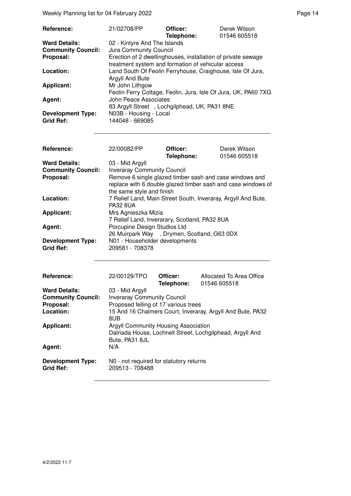Weekly Planning list for 04 February 2022 **Page 14** Page 14

| Reference:                                                     | 21/02708/PP                                                                                                                                                                  | Officer:<br>Telephone: | Derek Wilson<br>01546 605518 |
|----------------------------------------------------------------|------------------------------------------------------------------------------------------------------------------------------------------------------------------------------|------------------------|------------------------------|
| <b>Ward Details:</b><br><b>Community Council:</b><br>Proposal: | 02 - Kintyre And The Islands<br>Jura Community Council<br>Erection of 2 dwellinghouses, installation of private sewage<br>treatment system and formation of vehicular access |                        |                              |
| Location:                                                      | Land South Of Feolin Ferryhouse, Craighouse, Isle Of Jura,<br>Argyll And Bute                                                                                                |                        |                              |
| <b>Applicant:</b>                                              | Mr John Lithgow<br>Feolin Ferry Cottage, Feolin, Jura, Isle Of Jura, UK, PA60 7XG                                                                                            |                        |                              |
| Agent:                                                         | John Peace Associates<br>83 Argyll Street, Lochgilphead, UK, PA31 8NE                                                                                                        |                        |                              |
| <b>Development Type:</b><br><b>Grid Ref:</b>                   | N03B - Housing - Local<br>144048 - 669085                                                                                                                                    |                        |                              |

| Reference:                                                     | 22/00082/PP                                                                                                                                                                                                   | Officer:<br>Telephone: | Derek Wilson<br>01546 605518 |
|----------------------------------------------------------------|---------------------------------------------------------------------------------------------------------------------------------------------------------------------------------------------------------------|------------------------|------------------------------|
| <b>Ward Details:</b><br><b>Community Council:</b><br>Proposal: | 03 - Mid Argyll<br><b>Inveraray Community Council</b><br>Remove 6 single glazed timber sash and case windows and<br>replace with 6 double glazed timber sash and case windows of<br>the same style and finish |                        |                              |
| Location:                                                      | 7 Relief Land, Main Street South, Inveraray, Argyll And Bute,<br><b>PA32 8UA</b>                                                                                                                              |                        |                              |
| <b>Applicant:</b>                                              | Mrs Agnieszka Mizia<br>7 Relief Land, Inverarary, Scotland, PA32 8UA                                                                                                                                          |                        |                              |
| Agent:                                                         | Porcupine Design Studios Ltd<br>26 Muirpark Way, Drymen, Scotland, G63 0DX                                                                                                                                    |                        |                              |
| <b>Development Type:</b><br><b>Grid Ref:</b>                   | N01 - Householder developments<br>209581 - 708378                                                                                                                                                             |                        |                              |

| <b>Reference:</b>                            | 22/00129/TPO                                                      | Officer:<br>Telephone: | Allocated To Area Office<br>01546 605518                  |
|----------------------------------------------|-------------------------------------------------------------------|------------------------|-----------------------------------------------------------|
| <b>Ward Details:</b>                         | 03 - Mid Argyll                                                   |                        |                                                           |
| <b>Community Council:</b>                    | <b>Inveraray Community Council</b>                                |                        |                                                           |
| Proposal:                                    | Proposed felling of 17 various trees                              |                        |                                                           |
| Location:                                    | 15 And 16 Chalmers Court, Inveraray, Argyll And Bute, PA32<br>8UB |                        |                                                           |
| <b>Applicant:</b>                            | Argyll Community Housing Association<br>Bute, PA31 8JL            |                        | Dalriada House, Lochnell Street, Lochgilphead, Argyll And |
| Agent:                                       | N/A                                                               |                        |                                                           |
| <b>Development Type:</b><br><b>Grid Ref:</b> | N0 - not required for statutory returns<br>209513 - 708488        |                        |                                                           |